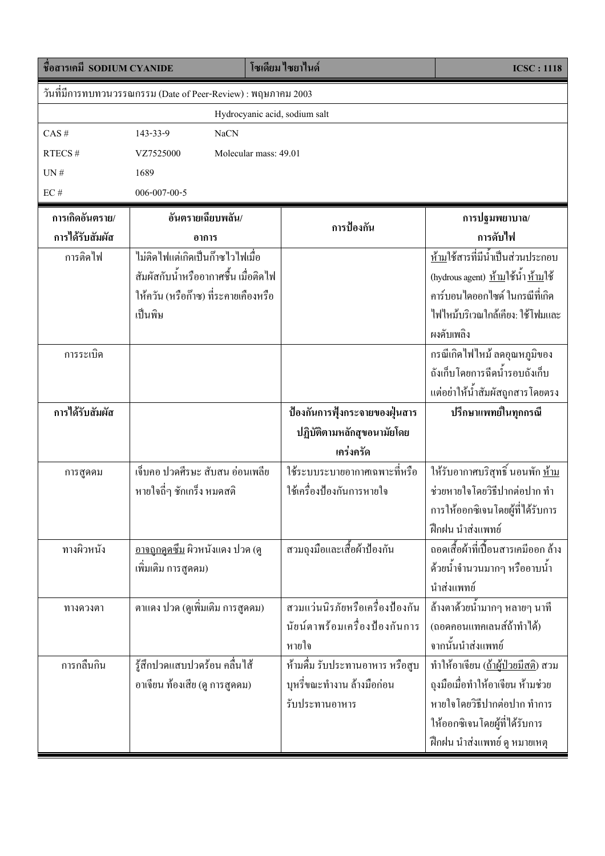| ชื่อสารเคมี SODIUM CYANIDE                                    |                                        | โซเดียม ไซยาไนด์                | <b>ICSC: 1118</b>                                  |  |  |
|---------------------------------------------------------------|----------------------------------------|---------------------------------|----------------------------------------------------|--|--|
| วันที่มีการทบทวนวรรณกรรม (Date of Peer-Review) : พฤษภาคม 2003 |                                        |                                 |                                                    |  |  |
| Hydrocyanic acid, sodium salt                                 |                                        |                                 |                                                    |  |  |
| CAS#                                                          | 143-33-9<br><b>NaCN</b>                |                                 |                                                    |  |  |
| RTECS#                                                        | VZ7525000                              | Molecular mass: 49.01           |                                                    |  |  |
| UN#                                                           | 1689                                   |                                 |                                                    |  |  |
| $\mathrm{EC}$ #                                               | 006-007-00-5                           |                                 |                                                    |  |  |
| การเกิดอันตราย/                                               | อันตรายเฉียบพลัน/                      |                                 | การปฐมพยาบาล/                                      |  |  |
| การได้รับสัมผัส                                               | อาการ                                  | การป้องกัน                      | การดับไฟ                                           |  |  |
| การติดไฟ                                                      | ไม่ติดไฟแต่เกิดเป็นก๊าซไวไฟเมื่อ       |                                 | ห้ามใช้สารที่มีน้ำเป็นส่วนประกอบ                   |  |  |
|                                                               | สัมผัสกับน้ำหรืออากาศชื้น เมื่อติดไฟ   |                                 | (hydrous agent) <u>ห้าม</u> ใช้น้ำ <u>ห้าม</u> ใช้ |  |  |
|                                                               | ให้ควัน (หรือก๊าซ) ที่ระคายเคืองหรือ   |                                 | คาร์บอนไดออกไซด์ ในกรณีที่เกิด                     |  |  |
|                                                               | เป็นพิษ                                |                                 | ไฟใหม้บริเวณใกล้เคียง: ใช้โฟมและ                   |  |  |
|                                                               |                                        |                                 | ผงคับเพลิง                                         |  |  |
| การระเบิด                                                     |                                        |                                 | กรณีเกิดไฟไหม้ ลคอุณหภูมิของ                       |  |  |
|                                                               |                                        |                                 | ถังเก็บโดยการฉีดน้ำรอบถังเก็บ                      |  |  |
|                                                               |                                        |                                 | แต่อย่าให้น้ำสัมผัสถูกสารโดยตรง                    |  |  |
| การใด้รับสัมผัส                                               |                                        | ป้องกันการฟุ้งกระจายของฝุ่นสาร  | ปรึกษาแพทย์ในทุกกรณี                               |  |  |
|                                                               |                                        | ปฏิบัติตามหลักสุขอนามัยโดย      |                                                    |  |  |
|                                                               |                                        | เคร่งครัด                       |                                                    |  |  |
| การสูดคม                                                      | เจ็บคอ ปวดศีรษะ สับสน อ่อนเพลีย        | ใช้ระบบระบายอากาศเฉพาะที่หรือ   | ์<br>ให้รับอากาศบริสุทธิ์ นอนพัก <u>ห้าม</u>       |  |  |
|                                                               | หายใจถี่ๆ ชักเกร็ง หมดสติ              | ใช้เครื่องป้องกันการหายใจ       | ช่วยหายใจโดยวิธีปากต่อปาก ทำ                       |  |  |
|                                                               |                                        |                                 | <sub>ิ</sub> การให้ออกซิเจนโดยผู้ที่ได้รับการ      |  |  |
|                                                               |                                        |                                 | ฝึกฝน นำส่งแพทย์                                   |  |  |
| ทางผิวหนัง                                                    | <u>อาจถูกดูคซึม</u> ผิวหนังแคง ปวด (ดู | สวมถุงมือและเสื้อผ้าป้องกัน     | ถอดเสื้อผ้าที่เปื้อนสารเคมืออก ล้าง                |  |  |
|                                                               | เพิ่มเติม การสูคคม)                    |                                 | ้ด้วยน้ำจำนวนมากๆ หรืออาบน้ำ                       |  |  |
|                                                               |                                        |                                 | นำส่งแพทย์                                         |  |  |
| ทางควงตา                                                      | ตาแคง ปวด (ดูเพิ่มเติม การสูดคม)       | สวมแว่นนิรภัยหรือเครื่องป้องกัน | ้ส้างตาด้วยน้ำมากๆ หลายๆ นาที                      |  |  |
|                                                               |                                        | นัยน์ตาพร้อมเครื่องป้องกันการ   | (ถอดคอนแทคเลนส์ถ้าทำได้)                           |  |  |
|                                                               |                                        | หายใจ                           | จากนั้นนำส่งแพทย์                                  |  |  |
| การกลืนกิน                                                    | รู้สึกปวดแสบปวดร้อน คลื่นไส้           | ห้ามคื่ม รับประทานอาหาร หรือสูบ | ทำให้อาเจียน ( <u>ถ้าผู้ป่วยมีสติ</u> ) สวม        |  |  |
|                                                               | อาเจียน ท้องเสีย (ดู การสูดคม)         | บุหรี่ขณะทำงาน ถ้างมือก่อน      | ถุงมือเมื่อทำให้อาเจียน ห้ามช่วย                   |  |  |
|                                                               |                                        | รับประทานอาหาร                  | หายใจโดยวิธีปากต่อปาก ทำการ                        |  |  |
|                                                               |                                        |                                 | ให้ออกซิเจนโดยผู้ที่ได้รับการ                      |  |  |
|                                                               |                                        |                                 | ฝึกฝน นำส่งแพทย์ ดู หมายเหตุ                       |  |  |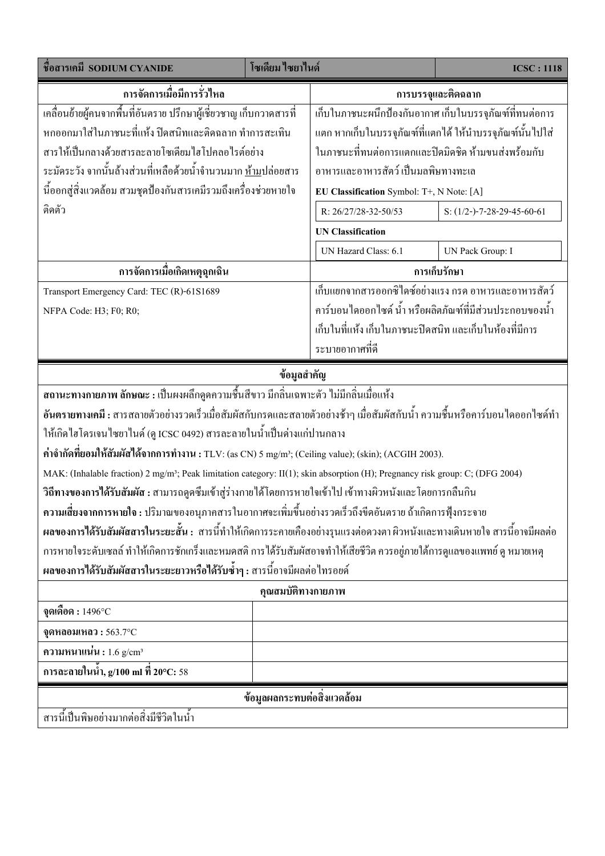| ชื่อสารเคมี SODIUM CYANIDE                                                                                                                | โซเดียม ไซยาไนด์ |                                                           | <b>ICSC: 1118</b>                       |  |  |
|-------------------------------------------------------------------------------------------------------------------------------------------|------------------|-----------------------------------------------------------|-----------------------------------------|--|--|
| การจัดการเมื่อมีการรั่วไหล                                                                                                                |                  | การบรรจุและติดฉลาก                                        |                                         |  |  |
| ้เคลื่อนย้ายผู้คนจากพื้นที่อันตราย ปรึกษาผู้เชี่ยวชาญ เก็บกวาดสารที่                                                                      |                  | เก็บในภาชนะผนึกป้องกันอากาศ เก็บในบรรจุภัณฑ์ที่ทนต่อการ   |                                         |  |  |
| หกออกมาใส่ในภาชนะที่แห้ง ปิดสนิทและติดฉลาก ทำการสะเทิน                                                                                    |                  | แตก หากเก็บในบรรจุภัณฑ์ที่แตกได้ ให้นำบรรจุภัณฑ์นั้นไปใส่ |                                         |  |  |
| สารให้เป็นกลางด้วยสารละลายโซเดียมใฮโปคลอไรต์อย่าง                                                                                         |                  | ในภาชนะที่ทนต่อการแตกและปิดมิดชิด ห้ามขนส่งพร้อมกับ       |                                         |  |  |
| ระมัคระวัง จากนั้นล้างส่วนที่เหลือด้วยน้ำจำนวนมาก <u>ห้าม</u> ปล่อยสาร                                                                    |                  | อาหารและอาหารสัตว์ เป็นมลพิษทางทะเล                       |                                         |  |  |
| นี้ออกสู่สิ่งแวดล้อม สวมชุดป้องกันสารเคมีรวมถึงเครื่องช่วยหายใจ                                                                           |                  | EU Classification Symbol: T+, N Note: [A]                 |                                         |  |  |
| ติดตัว                                                                                                                                    |                  | R: 26/27/28-32-50/53                                      | S: $(1/2 - -7 - 28 - 29 - 45 - 60 - 61$ |  |  |
|                                                                                                                                           |                  | <b>UN Classification</b>                                  |                                         |  |  |
|                                                                                                                                           |                  | UN Hazard Class: 6.1                                      | UN Pack Group: I                        |  |  |
| การจัดการเมื่อเกิดเหตุฉุกเฉิน                                                                                                             |                  | การเก็บรักษา                                              |                                         |  |  |
| Transport Emergency Card: TEC (R)-61S1689                                                                                                 |                  | เก็บแยกจากสารออกซิไดซ์อย่างแรง กรด อาหารและอาหารสัตว์     |                                         |  |  |
| NFPA Code: H3; F0; R0;                                                                                                                    |                  | ้คาร์บอนไดออกไซด์ น้ำ หรือผลิตภัณฑ์ที่มีส่วนประกอบของน้ำ  |                                         |  |  |
|                                                                                                                                           |                  | ้เก็บในที่แห้ง เก็บในภาชนะปิดสนิท และเก็บในห้องที่มีการ   |                                         |  |  |
|                                                                                                                                           |                  | ระบายอากาศที่ดี                                           |                                         |  |  |
| ข้อมูลสำคัญ                                                                                                                               |                  |                                                           |                                         |  |  |
| ี สถานะทางกายภาพ ลักษณะ : เป็นผงผลึกดูดความชื้นสีขาว มีกลิ่นเฉพาะตัว ไม่มีกลิ่นเมื่อแห้ง                                                  |                  |                                                           |                                         |  |  |
| อันตรายทางเคมี : สารสลายตัวอย่างรวดเร็วเมื่อสัมผัสกับกรดและสลายตัวอย่างช้าๆ เมื่อสัมผัสกับน้ำ ความชื้นหรือคาร์บอนไดออกไซด์ทำ              |                  |                                                           |                                         |  |  |
| ให้เกิดใฮโครเจนใซยาในด์ (ดู ICSC 0492) สารละลายในน้ำเป็นด่างแก่ปานกลาง                                                                    |                  |                                                           |                                         |  |  |
| ค่าจำกัดที่ยอมให้สัมผัสได้จากการทำงาน : TLV: (as CN) 5 mg/m <sup>3</sup> ; (Ceiling value); (skin); (ACGIH 2003).                         |                  |                                                           |                                         |  |  |
| MAK: (Inhalable fraction) 2 mg/m <sup>3</sup> ; Peak limitation category: II(1); skin absorption (H); Pregnancy risk group: C; (DFG 2004) |                  |                                                           |                                         |  |  |
| ีวิถีทางของการได้รับสัมผัส : สามารถดูคซึมเข้าสู่ร่างกายได้โดยการหายใจเข้าไป เข้าทางผิวหนังและโดยการกลืนกิน                                |                  |                                                           |                                         |  |  |
| ี ความเสี่ยงจากการหายใจ : ปริมาณของอนุภาคสารในอากาศจะเพิ่มขึ้นอย่างรวดเร็วถึงขีดอันตราย ถ้าเกิดการฟุ้งกระจาย                              |                  |                                                           |                                         |  |  |
| ผลของการได้รับสัมผัสสารในระยะสั้น : สารนี้ทำให้เกิดการระคายเคืองอย่างรุนแรงต่อดวงตา ผิวหนังและทางเดินหายใจ สารนี้อาจมีผลต่อ               |                  |                                                           |                                         |  |  |
| การหายใจระดับเซลล์ ทำให้เกิดการชักเกร็งและหมดสติ การได้รับสัมผัสอาจทำให้เสียชีวิต ควรอยู่ภายใต้การดูแลของแพทย์ ดู หมายเหตุ                |                  |                                                           |                                         |  |  |
| ผลของการได้รับสัมผัสสารในระยะยาวหรือได้รับซ้ำๆ : สารนี้อาจมีผลต่อไทรอยด์                                                                  |                  |                                                           |                                         |  |  |
| คุณสมบัติทางกายภาพ                                                                                                                        |                  |                                                           |                                         |  |  |
| จุดเดือด : 1496°C                                                                                                                         |                  |                                                           |                                         |  |  |
| จุดหลอมเหลว: $563.7^{\circ}$ C                                                                                                            |                  |                                                           |                                         |  |  |
| ความหนาแน่น: $1.6$ g/cm <sup>3</sup>                                                                                                      |                  |                                                           |                                         |  |  |
| การละลายในน้ำ, g/100 ml ที่ 20°C: 58                                                                                                      |                  |                                                           |                                         |  |  |
| ข้อมูลผลกระทบต่อสิ่งแวดล้อม                                                                                                               |                  |                                                           |                                         |  |  |
| สารนี้เป็นพิษอย่างมากต่อสิ่งมีชีวิตในน้ำ                                                                                                  |                  |                                                           |                                         |  |  |
|                                                                                                                                           |                  |                                                           |                                         |  |  |